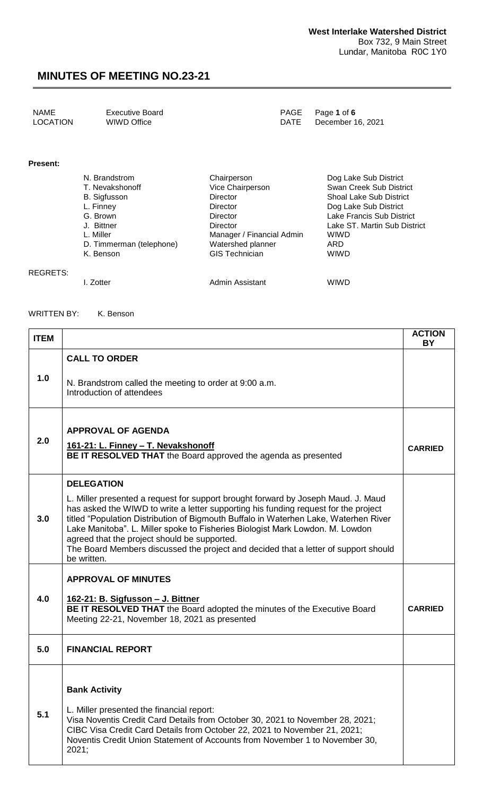| NAME     | Executive Board | PAGE Page 1 of 6       |
|----------|-----------------|------------------------|
| LOCATION | WIWD Office     | DATE December 16, 2021 |

#### **Present:**

| N. Brandstrom            | Chairperson               | Dog Lake Sub District          |
|--------------------------|---------------------------|--------------------------------|
| T. Nevakshonoff          | Vice Chairperson          | Swan Creek Sub District        |
| <b>B.</b> Sigfusson      | Director                  | <b>Shoal Lake Sub District</b> |
| L. Finney                | Director                  | Dog Lake Sub District          |
| G. Brown                 | Director                  | Lake Francis Sub District      |
| J. Bittner               | Director                  | Lake ST. Martin Sub District   |
| L. Miller                | Manager / Financial Admin | <b>WIWD</b>                    |
| D. Timmerman (telephone) | Watershed planner         | ARD                            |
| K. Benson                | <b>GIS Technician</b>     | <b>WIWD</b>                    |
|                          |                           |                                |
|                          |                           |                                |

REGRETS:

I. Zotter **Admin Assistant** WIWD

#### WRITTEN BY: K. Benson

| <b>ITEM</b> |                                                                                                                                                                                                                                                                                                                                                                                                                                                                                                         | <b>ACTION</b><br>BY |
|-------------|---------------------------------------------------------------------------------------------------------------------------------------------------------------------------------------------------------------------------------------------------------------------------------------------------------------------------------------------------------------------------------------------------------------------------------------------------------------------------------------------------------|---------------------|
|             | <b>CALL TO ORDER</b>                                                                                                                                                                                                                                                                                                                                                                                                                                                                                    |                     |
| 1.0         | N. Brandstrom called the meeting to order at 9:00 a.m.<br>Introduction of attendees                                                                                                                                                                                                                                                                                                                                                                                                                     |                     |
|             | <b>APPROVAL OF AGENDA</b>                                                                                                                                                                                                                                                                                                                                                                                                                                                                               |                     |
| 2.0         | 161-21: L. Finney - T. Nevakshonoff<br>BE IT RESOLVED THAT the Board approved the agenda as presented                                                                                                                                                                                                                                                                                                                                                                                                   | <b>CARRIED</b>      |
|             | <b>DELEGATION</b>                                                                                                                                                                                                                                                                                                                                                                                                                                                                                       |                     |
| 3.0         | L. Miller presented a request for support brought forward by Joseph Maud. J. Maud<br>has asked the WIWD to write a letter supporting his funding request for the project<br>titled "Population Distribution of Bigmouth Buffalo in Waterhen Lake, Waterhen River<br>Lake Manitoba". L. Miller spoke to Fisheries Biologist Mark Lowdon. M. Lowdon<br>agreed that the project should be supported.<br>The Board Members discussed the project and decided that a letter of support should<br>be written. |                     |
|             | <b>APPROVAL OF MINUTES</b>                                                                                                                                                                                                                                                                                                                                                                                                                                                                              |                     |
| 4.0         | <u> 162-21: B. Sigfusson – J. Bittner</u><br>BE IT RESOLVED THAT the Board adopted the minutes of the Executive Board<br>Meeting 22-21, November 18, 2021 as presented                                                                                                                                                                                                                                                                                                                                  | <b>CARRIED</b>      |
| 5.0         | <b>FINANCIAL REPORT</b>                                                                                                                                                                                                                                                                                                                                                                                                                                                                                 |                     |
|             |                                                                                                                                                                                                                                                                                                                                                                                                                                                                                                         |                     |
|             | <b>Bank Activity</b>                                                                                                                                                                                                                                                                                                                                                                                                                                                                                    |                     |
| 5.1         | L. Miller presented the financial report:<br>Visa Noventis Credit Card Details from October 30, 2021 to November 28, 2021;<br>CIBC Visa Credit Card Details from October 22, 2021 to November 21, 2021;<br>Noventis Credit Union Statement of Accounts from November 1 to November 30,<br>2021;                                                                                                                                                                                                         |                     |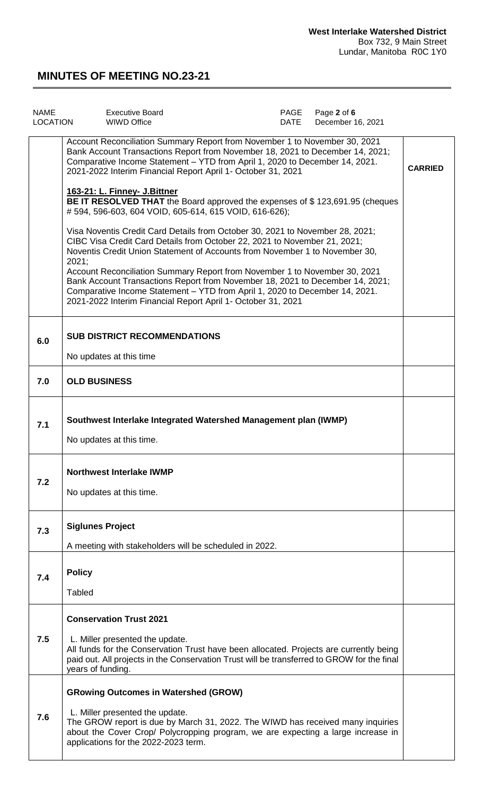| <b>NAME</b><br>LOCATION | <b>Executive Board</b><br>WIWD Office                                                                                                                                                                                                                                                                                                                                                                                                                                                                                                                                                                                                                                                                                                                                                                                           | PAGE<br>DATE | Page 2 of 6<br>December 16, 2021 |                |
|-------------------------|---------------------------------------------------------------------------------------------------------------------------------------------------------------------------------------------------------------------------------------------------------------------------------------------------------------------------------------------------------------------------------------------------------------------------------------------------------------------------------------------------------------------------------------------------------------------------------------------------------------------------------------------------------------------------------------------------------------------------------------------------------------------------------------------------------------------------------|--------------|----------------------------------|----------------|
|                         | Account Reconciliation Summary Report from November 1 to November 30, 2021<br>Bank Account Transactions Report from November 18, 2021 to December 14, 2021;<br>Comparative Income Statement - YTD from April 1, 2020 to December 14, 2021.<br>2021-2022 Interim Financial Report April 1- October 31, 2021<br>163-21: L. Finney- J. Bittner<br><b>BE IT RESOLVED THAT</b> the Board approved the expenses of \$123,691.95 (cheques<br>#594, 596-603, 604 VOID, 605-614, 615 VOID, 616-626);<br>Visa Noventis Credit Card Details from October 30, 2021 to November 28, 2021;<br>CIBC Visa Credit Card Details from October 22, 2021 to November 21, 2021;<br>Noventis Credit Union Statement of Accounts from November 1 to November 30,<br>2021;<br>Account Reconciliation Summary Report from November 1 to November 30, 2021 |              |                                  | <b>CARRIED</b> |
|                         | Bank Account Transactions Report from November 18, 2021 to December 14, 2021;<br>Comparative Income Statement - YTD from April 1, 2020 to December 14, 2021.<br>2021-2022 Interim Financial Report April 1- October 31, 2021                                                                                                                                                                                                                                                                                                                                                                                                                                                                                                                                                                                                    |              |                                  |                |
| 6.0                     | <b>SUB DISTRICT RECOMMENDATIONS</b><br>No updates at this time                                                                                                                                                                                                                                                                                                                                                                                                                                                                                                                                                                                                                                                                                                                                                                  |              |                                  |                |
| 7.0                     | <b>OLD BUSINESS</b>                                                                                                                                                                                                                                                                                                                                                                                                                                                                                                                                                                                                                                                                                                                                                                                                             |              |                                  |                |
| 7.1                     | Southwest Interlake Integrated Watershed Management plan (IWMP)<br>No updates at this time.                                                                                                                                                                                                                                                                                                                                                                                                                                                                                                                                                                                                                                                                                                                                     |              |                                  |                |
| 7.2                     | <b>Northwest Interlake IWMP</b><br>No updates at this time.                                                                                                                                                                                                                                                                                                                                                                                                                                                                                                                                                                                                                                                                                                                                                                     |              |                                  |                |
| 7.3                     | <b>Siglunes Project</b><br>A meeting with stakeholders will be scheduled in 2022.                                                                                                                                                                                                                                                                                                                                                                                                                                                                                                                                                                                                                                                                                                                                               |              |                                  |                |
| 7.4                     | <b>Policy</b><br>Tabled                                                                                                                                                                                                                                                                                                                                                                                                                                                                                                                                                                                                                                                                                                                                                                                                         |              |                                  |                |
| 7.5                     | <b>Conservation Trust 2021</b><br>L. Miller presented the update.<br>All funds for the Conservation Trust have been allocated. Projects are currently being<br>paid out. All projects in the Conservation Trust will be transferred to GROW for the final<br>years of funding.                                                                                                                                                                                                                                                                                                                                                                                                                                                                                                                                                  |              |                                  |                |
| 7.6                     | <b>GRowing Outcomes in Watershed (GROW)</b><br>L. Miller presented the update.<br>The GROW report is due by March 31, 2022. The WIWD has received many inquiries<br>about the Cover Crop/ Polycropping program, we are expecting a large increase in<br>applications for the 2022-2023 term.                                                                                                                                                                                                                                                                                                                                                                                                                                                                                                                                    |              |                                  |                |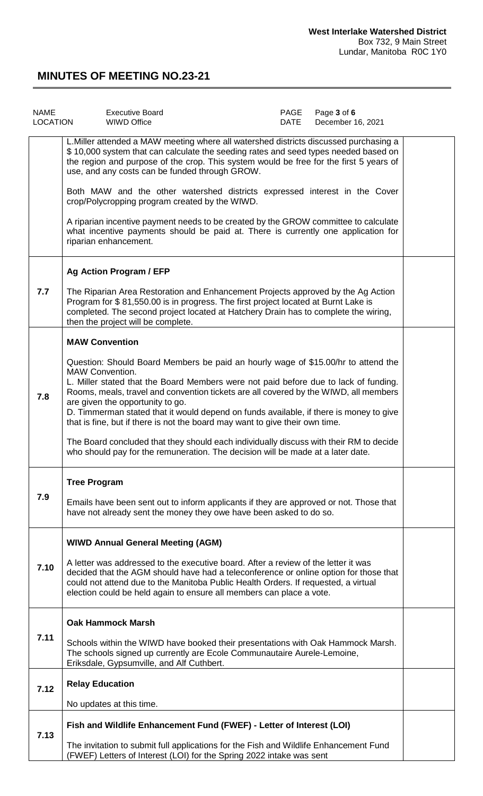| <b>NAME</b><br><b>LOCATION</b> | <b>Executive Board</b><br><b>WIWD Office</b>                                                                                                                                                                                                                                                                                                                                                                                                                                                       | PAGE<br>DATE | Page 3 of 6<br>December 16, 2021 |  |
|--------------------------------|----------------------------------------------------------------------------------------------------------------------------------------------------------------------------------------------------------------------------------------------------------------------------------------------------------------------------------------------------------------------------------------------------------------------------------------------------------------------------------------------------|--------------|----------------------------------|--|
|                                | L. Miller attended a MAW meeting where all watershed districts discussed purchasing a<br>\$10,000 system that can calculate the seeding rates and seed types needed based on<br>the region and purpose of the crop. This system would be free for the first 5 years of<br>use, and any costs can be funded through GROW.                                                                                                                                                                           |              |                                  |  |
|                                | Both MAW and the other watershed districts expressed interest in the Cover<br>crop/Polycropping program created by the WIWD.                                                                                                                                                                                                                                                                                                                                                                       |              |                                  |  |
|                                | A riparian incentive payment needs to be created by the GROW committee to calculate<br>what incentive payments should be paid at. There is currently one application for<br>riparian enhancement.                                                                                                                                                                                                                                                                                                  |              |                                  |  |
|                                | <b>Ag Action Program / EFP</b>                                                                                                                                                                                                                                                                                                                                                                                                                                                                     |              |                                  |  |
| 7.7                            | The Riparian Area Restoration and Enhancement Projects approved by the Ag Action<br>Program for \$81,550.00 is in progress. The first project located at Burnt Lake is<br>completed. The second project located at Hatchery Drain has to complete the wiring,<br>then the project will be complete.                                                                                                                                                                                                |              |                                  |  |
|                                | <b>MAW Convention</b>                                                                                                                                                                                                                                                                                                                                                                                                                                                                              |              |                                  |  |
| 7.8                            | Question: Should Board Members be paid an hourly wage of \$15.00/hr to attend the<br>MAW Convention.<br>L. Miller stated that the Board Members were not paid before due to lack of funding.<br>Rooms, meals, travel and convention tickets are all covered by the WIWD, all members<br>are given the opportunity to go.<br>D. Timmerman stated that it would depend on funds available, if there is money to give<br>that is fine, but if there is not the board may want to give their own time. |              |                                  |  |
|                                | The Board concluded that they should each individually discuss with their RM to decide<br>who should pay for the remuneration. The decision will be made at a later date.                                                                                                                                                                                                                                                                                                                          |              |                                  |  |
| 7.9                            | <b>Tree Program</b><br>Emails have been sent out to inform applicants if they are approved or not. Those that<br>have not already sent the money they owe have been asked to do so.                                                                                                                                                                                                                                                                                                                |              |                                  |  |
|                                | <b>WIWD Annual General Meeting (AGM)</b>                                                                                                                                                                                                                                                                                                                                                                                                                                                           |              |                                  |  |
| 7.10                           | A letter was addressed to the executive board. After a review of the letter it was<br>decided that the AGM should have had a teleconference or online option for those that<br>could not attend due to the Manitoba Public Health Orders. If requested, a virtual<br>election could be held again to ensure all members can place a vote.                                                                                                                                                          |              |                                  |  |
|                                | <b>Oak Hammock Marsh</b>                                                                                                                                                                                                                                                                                                                                                                                                                                                                           |              |                                  |  |
| 7.11                           | Schools within the WIWD have booked their presentations with Oak Hammock Marsh.<br>The schools signed up currently are Ecole Communautaire Aurele-Lemoine,<br>Eriksdale, Gypsumville, and Alf Cuthbert.                                                                                                                                                                                                                                                                                            |              |                                  |  |
| 7.12                           | <b>Relay Education</b>                                                                                                                                                                                                                                                                                                                                                                                                                                                                             |              |                                  |  |
|                                | No updates at this time.                                                                                                                                                                                                                                                                                                                                                                                                                                                                           |              |                                  |  |
| 7.13                           | Fish and Wildlife Enhancement Fund (FWEF) - Letter of Interest (LOI)                                                                                                                                                                                                                                                                                                                                                                                                                               |              |                                  |  |
|                                | The invitation to submit full applications for the Fish and Wildlife Enhancement Fund<br>(FWEF) Letters of Interest (LOI) for the Spring 2022 intake was sent                                                                                                                                                                                                                                                                                                                                      |              |                                  |  |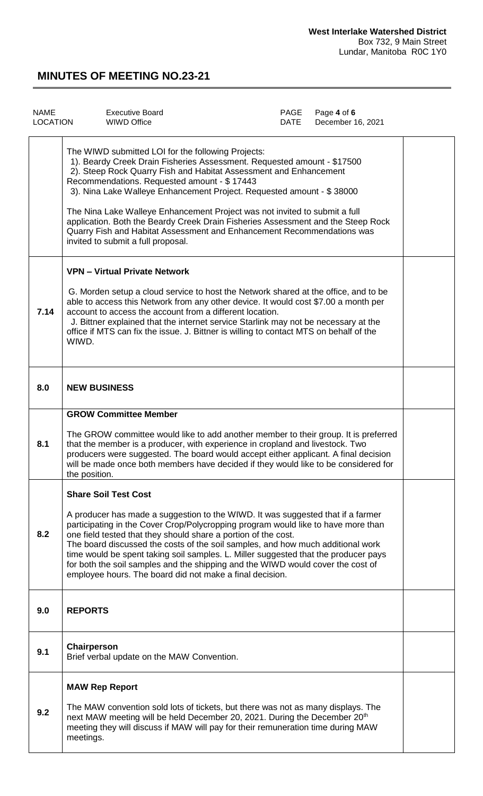| <b>NAME</b><br><b>LOCATION</b> | <b>Executive Board</b><br><b>WIWD Office</b>                                                                                                                                                                                                                                                                                                                                                                                                                                                                                                                                                                 | PAGE<br><b>DATE</b> | Page 4 of 6<br>December 16, 2021 |  |
|--------------------------------|--------------------------------------------------------------------------------------------------------------------------------------------------------------------------------------------------------------------------------------------------------------------------------------------------------------------------------------------------------------------------------------------------------------------------------------------------------------------------------------------------------------------------------------------------------------------------------------------------------------|---------------------|----------------------------------|--|
|                                | The WIWD submitted LOI for the following Projects:<br>1). Beardy Creek Drain Fisheries Assessment. Requested amount - \$17500<br>2). Steep Rock Quarry Fish and Habitat Assessment and Enhancement<br>Recommendations. Requested amount - \$17443<br>3). Nina Lake Walleye Enhancement Project. Requested amount - \$38000<br>The Nina Lake Walleye Enhancement Project was not invited to submit a full<br>application. Both the Beardy Creek Drain Fisheries Assessment and the Steep Rock<br>Quarry Fish and Habitat Assessment and Enhancement Recommendations was<br>invited to submit a full proposal. |                     |                                  |  |
| 7.14                           | <b>VPN - Virtual Private Network</b><br>G. Morden setup a cloud service to host the Network shared at the office, and to be<br>able to access this Network from any other device. It would cost \$7.00 a month per<br>account to access the account from a different location.<br>J. Bittner explained that the internet service Starlink may not be necessary at the<br>office if MTS can fix the issue. J. Bittner is willing to contact MTS on behalf of the<br>WIWD.                                                                                                                                     |                     |                                  |  |
| 8.0                            | <b>NEW BUSINESS</b>                                                                                                                                                                                                                                                                                                                                                                                                                                                                                                                                                                                          |                     |                                  |  |
| 8.1                            | <b>GROW Committee Member</b><br>The GROW committee would like to add another member to their group. It is preferred<br>that the member is a producer, with experience in cropland and livestock. Two<br>producers were suggested. The board would accept either applicant. A final decision<br>will be made once both members have decided if they would like to be considered for<br>the position.                                                                                                                                                                                                          |                     |                                  |  |
| 8.2                            | <b>Share Soil Test Cost</b><br>A producer has made a suggestion to the WIWD. It was suggested that if a farmer<br>participating in the Cover Crop/Polycropping program would like to have more than<br>one field tested that they should share a portion of the cost.<br>The board discussed the costs of the soil samples, and how much additional work<br>time would be spent taking soil samples. L. Miller suggested that the producer pays<br>for both the soil samples and the shipping and the WIWD would cover the cost of<br>employee hours. The board did not make a final decision.               |                     |                                  |  |
| 9.0                            | <b>REPORTS</b>                                                                                                                                                                                                                                                                                                                                                                                                                                                                                                                                                                                               |                     |                                  |  |
| 9.1                            | Chairperson<br>Brief verbal update on the MAW Convention.                                                                                                                                                                                                                                                                                                                                                                                                                                                                                                                                                    |                     |                                  |  |
| 9.2                            | <b>MAW Rep Report</b><br>The MAW convention sold lots of tickets, but there was not as many displays. The<br>next MAW meeting will be held December 20, 2021. During the December 20 <sup>th</sup><br>meeting they will discuss if MAW will pay for their remuneration time during MAW<br>meetings.                                                                                                                                                                                                                                                                                                          |                     |                                  |  |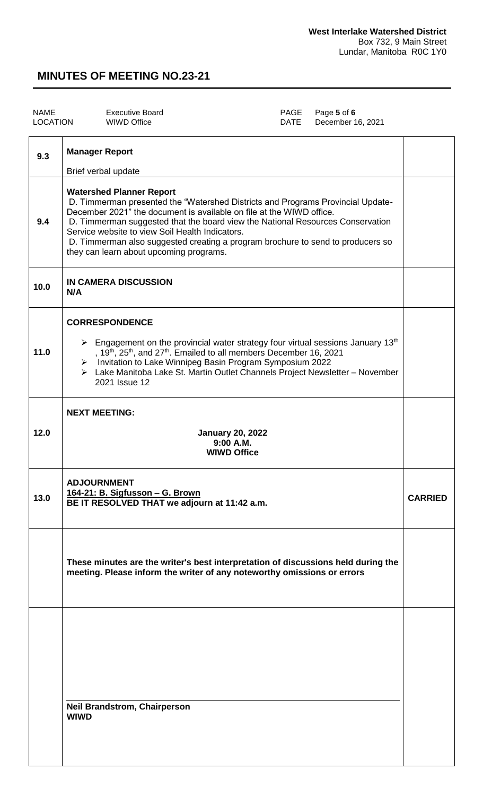| PAGE Page 5 of 6<br>LOCATION<br>WIWD Office<br>DATE December 16, 2021 | NAME | <b>Executive Board</b> |  |  |  |
|-----------------------------------------------------------------------|------|------------------------|--|--|--|
|-----------------------------------------------------------------------|------|------------------------|--|--|--|

| 9.3  | <b>Manager Report</b>                                                                                                                                                                                                                                                                                                                                                                                                                                         |                |
|------|---------------------------------------------------------------------------------------------------------------------------------------------------------------------------------------------------------------------------------------------------------------------------------------------------------------------------------------------------------------------------------------------------------------------------------------------------------------|----------------|
|      | Brief verbal update                                                                                                                                                                                                                                                                                                                                                                                                                                           |                |
| 9.4  | <b>Watershed Planner Report</b><br>D. Timmerman presented the "Watershed Districts and Programs Provincial Update-<br>December 2021" the document is available on file at the WIWD office.<br>D. Timmerman suggested that the board view the National Resources Conservation<br>Service website to view Soil Health Indicators.<br>D. Timmerman also suggested creating a program brochure to send to producers so<br>they can learn about upcoming programs. |                |
| 10.0 | IN CAMERA DISCUSSION<br>N/A                                                                                                                                                                                                                                                                                                                                                                                                                                   |                |
| 11.0 | <b>CORRESPONDENCE</b><br>$\triangleright$ Engagement on the provincial water strategy four virtual sessions January 13 <sup>th</sup><br>, 19 <sup>th</sup> , 25 <sup>th</sup> , and 27 <sup>th</sup> . Emailed to all members December 16, 2021<br>> Invitation to Lake Winnipeg Basin Program Symposium 2022<br>> Lake Manitoba Lake St. Martin Outlet Channels Project Newsletter - November<br>2021 Issue 12                                               |                |
| 12.0 | <b>NEXT MEETING:</b><br><b>January 20, 2022</b><br>9:00 A.M.<br><b>WIWD Office</b>                                                                                                                                                                                                                                                                                                                                                                            |                |
| 13.0 | <b>ADJOURNMENT</b><br>164-21: B. Sigfusson - G. Brown<br>BE IT RESOLVED THAT we adjourn at 11:42 a.m.                                                                                                                                                                                                                                                                                                                                                         | <b>CARRIED</b> |
|      | These minutes are the writer's best interpretation of discussions held during the<br>meeting. Please inform the writer of any noteworthy omissions or errors                                                                                                                                                                                                                                                                                                  |                |
|      |                                                                                                                                                                                                                                                                                                                                                                                                                                                               |                |
|      | <b>Neil Brandstrom, Chairperson</b><br><b>WIWD</b>                                                                                                                                                                                                                                                                                                                                                                                                            |                |